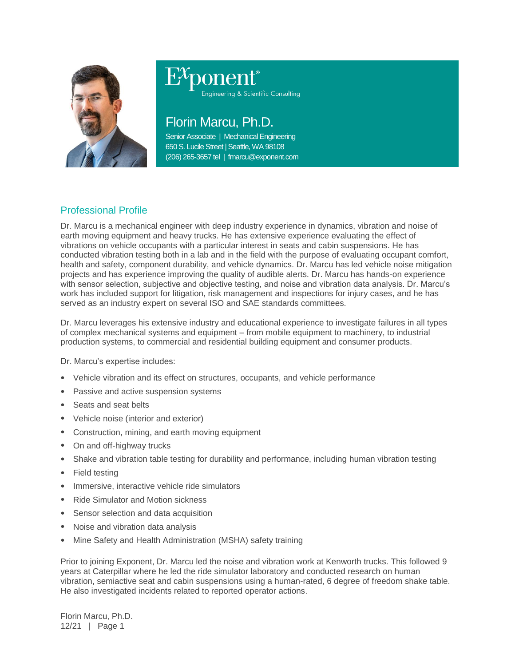

# ponent®

Engineering & Scientific Consulting

# Florin Marcu, Ph.D.

Senior Associate | Mechanical Engineering 650 S. Lucile Street | Seattle, WA 98108 (206) 265-3657 tel | fmarcu@exponent.com

# Professional Profile

Dr. Marcu is a mechanical engineer with deep industry experience in dynamics, vibration and noise of earth moving equipment and heavy trucks. He has extensive experience evaluating the effect of vibrations on vehicle occupants with a particular interest in seats and cabin suspensions. He has conducted vibration testing both in a lab and in the field with the purpose of evaluating occupant comfort, health and safety, component durability, and vehicle dynamics. Dr. Marcu has led vehicle noise mitigation projects and has experience improving the quality of audible alerts. Dr. Marcu has hands-on experience with sensor selection, subjective and objective testing, and noise and vibration data analysis. Dr. Marcu's work has included support for litigation, risk management and inspections for injury cases, and he has served as an industry expert on several ISO and SAE standards committees.

Dr. Marcu leverages his extensive industry and educational experience to investigate failures in all types of complex mechanical systems and equipment – from mobile equipment to machinery, to industrial production systems, to commercial and residential building equipment and consumer products.

Dr. Marcu's expertise includes:

- Vehicle vibration and its effect on structures, occupants, and vehicle performance
- Passive and active suspension systems
- Seats and seat belts
- Vehicle noise (interior and exterior)
- Construction, mining, and earth moving equipment
- On and off-highway trucks
- Shake and vibration table testing for durability and performance, including human vibration testing
- **Field testing**
- Immersive, interactive vehicle ride simulators
- Ride Simulator and Motion sickness
- Sensor selection and data acquisition
- Noise and vibration data analysis
- Mine Safety and Health Administration (MSHA) safety training

Prior to joining Exponent, Dr. Marcu led the noise and vibration work at Kenworth trucks. This followed 9 years at Caterpillar where he led the ride simulator laboratory and conducted research on human vibration, semiactive seat and cabin suspensions using a human-rated, 6 degree of freedom shake table. He also investigated incidents related to reported operator actions.

Florin Marcu, Ph.D. 12/21 | Page 1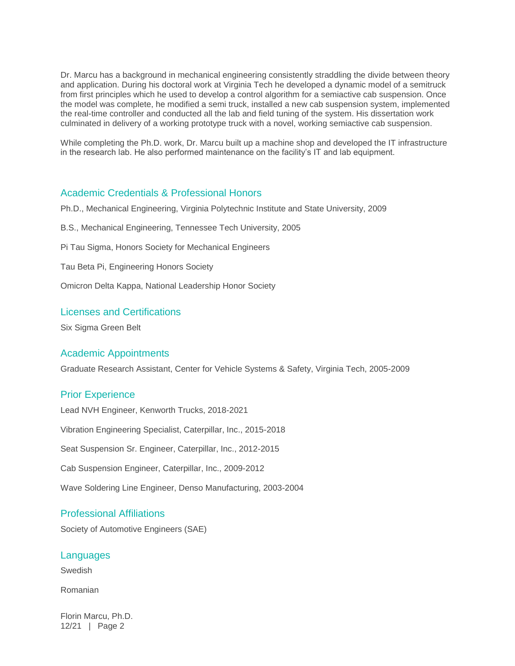Dr. Marcu has a background in mechanical engineering consistently straddling the divide between theory and application. During his doctoral work at Virginia Tech he developed a dynamic model of a semitruck from first principles which he used to develop a control algorithm for a semiactive cab suspension. Once the model was complete, he modified a semi truck, installed a new cab suspension system, implemented the real-time controller and conducted all the lab and field tuning of the system. His dissertation work culminated in delivery of a working prototype truck with a novel, working semiactive cab suspension.

While completing the Ph.D. work, Dr. Marcu built up a machine shop and developed the IT infrastructure in the research lab. He also performed maintenance on the facility's IT and lab equipment.

#### Academic Credentials & Professional Honors

Ph.D., Mechanical Engineering, Virginia Polytechnic Institute and State University, 2009

- B.S., Mechanical Engineering, Tennessee Tech University, 2005
- Pi Tau Sigma, Honors Society for Mechanical Engineers
- Tau Beta Pi, Engineering Honors Society
- Omicron Delta Kappa, National Leadership Honor Society

#### Licenses and Certifications

Six Sigma Green Belt

#### Academic Appointments

Graduate Research Assistant, Center for Vehicle Systems & Safety, Virginia Tech, 2005-2009

#### Prior Experience

Lead NVH Engineer, Kenworth Trucks, 2018-2021 Vibration Engineering Specialist, Caterpillar, Inc., 2015-2018 Seat Suspension Sr. Engineer, Caterpillar, Inc., 2012-2015 Cab Suspension Engineer, Caterpillar, Inc., 2009-2012 Wave Soldering Line Engineer, Denso Manufacturing, 2003-2004

# Professional Affiliations

Society of Automotive Engineers (SAE)

#### **Languages**

Swedish

Romanian

Florin Marcu, Ph.D. 12/21 | Page 2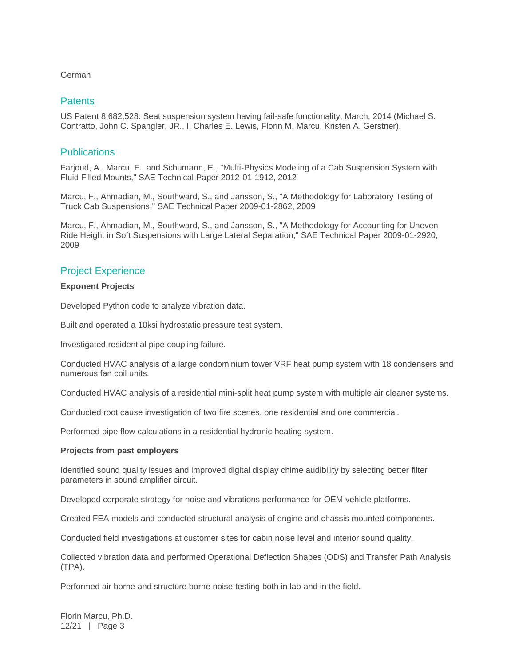#### German

#### **Patents**

US Patent 8,682,528: Seat suspension system having fail-safe functionality, March, 2014 (Michael S. Contratto, John C. Spangler, JR., II Charles E. Lewis, Florin M. Marcu, Kristen A. Gerstner).

#### **Publications**

Farjoud, A., Marcu, F., and Schumann, E., "Multi-Physics Modeling of a Cab Suspension System with Fluid Filled Mounts," SAE Technical Paper 2012-01-1912, 2012

Marcu, F., Ahmadian, M., Southward, S., and Jansson, S., "A Methodology for Laboratory Testing of Truck Cab Suspensions," SAE Technical Paper 2009-01-2862, 2009

Marcu, F., Ahmadian, M., Southward, S., and Jansson, S., "A Methodology for Accounting for Uneven Ride Height in Soft Suspensions with Large Lateral Separation," SAE Technical Paper 2009-01-2920, 2009

# Project Experience

#### **Exponent Projects**

Developed Python code to analyze vibration data.

Built and operated a 10ksi hydrostatic pressure test system.

Investigated residential pipe coupling failure.

Conducted HVAC analysis of a large condominium tower VRF heat pump system with 18 condensers and numerous fan coil units.

Conducted HVAC analysis of a residential mini-split heat pump system with multiple air cleaner systems.

Conducted root cause investigation of two fire scenes, one residential and one commercial.

Performed pipe flow calculations in a residential hydronic heating system.

#### **Projects from past employers**

Identified sound quality issues and improved digital display chime audibility by selecting better filter parameters in sound amplifier circuit.

Developed corporate strategy for noise and vibrations performance for OEM vehicle platforms.

Created FEA models and conducted structural analysis of engine and chassis mounted components.

Conducted field investigations at customer sites for cabin noise level and interior sound quality.

Collected vibration data and performed Operational Deflection Shapes (ODS) and Transfer Path Analysis (TPA).

Performed air borne and structure borne noise testing both in lab and in the field.

Florin Marcu, Ph.D. 12/21 | Page 3